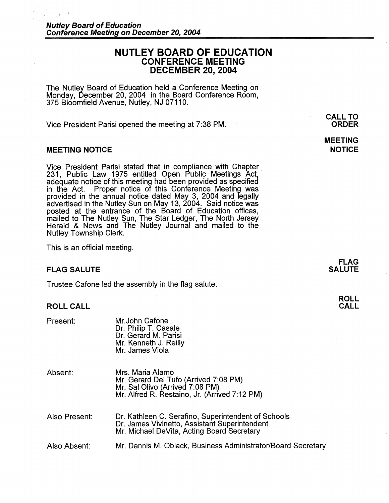## **NUTLEY BOARD OF EDUCATION CONFERENCE MEETING DECEMBER 20, 2004**

The Nutley Board of Education held a Conference Meeting on Monday, December 20, 2004 in the Board Conference Room, 375 Bloomfield Avenue, Nutley, NJ 07110.

Vice President Parisi opened the meeting at 7:38 PM.

### **MEETING NOTICE**

Vice President Parisi stated that in compliance with Chapter . 231, Public Law 1975 entitled Open Public Meetings Act, adequate notice of this meeting had been provided as specified Proper notice of this Conference Meeting was provided in the annual notice dated May 3, 2004 and legally advertised in the Nutley Sun on May 13, 2004. Said notice was posted at the entrance of the Board of Education offices, mailed to The Nutley Sun, The Star Ledger, The North Jersey Herald & News and The Nutley Journal and mailed to the Nutley Township Clerk.

This is an official meeting.

### **FLAG SALUTE**

Trustee Cafone led the assembly in the flag salute.

### **ROLL CALL**

| Present:      | Mr.John Cafone<br>Dr. Philip T. Casale<br>Dr. Gerard M. Parisi<br>Mr. Kenneth J. Reilly<br>Mr. James Viola                                         |
|---------------|----------------------------------------------------------------------------------------------------------------------------------------------------|
| Absent:       | Mrs. Maria Alamo<br>Mr. Gerard Del Tufo (Arrived 7:08 PM)<br>Mr. Sal Olivo (Arrived 7:08 PM)<br>Mr. Alfred R. Restaino, Jr. (Arrived 7:12 PM)      |
| Also Present: | Dr. Kathleen C. Serafino, Superintendent of Schools<br>Dr. James Vivinetto, Assistant Superintendent<br>Mr. Michael DeVita, Acting Board Secretary |
| Also Absent:  | Mr. Dennis M. Oblack, Business Administrator/Board Secretary                                                                                       |

**CALL TO ORDER** 

# **MEETING NOTICE**

**FLAG SALUTE** 

## **ROLL CALL**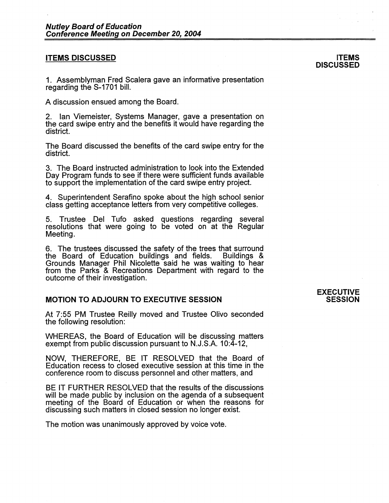### **ITEMS DISCUSSED**

1. Assemblyman Fred Scalera gave an informative presentation regarding the S-1701 bill.

A discussion ensued among the Board.

2. Ian Viemeister, Systems Manager, gave a presentation on the card swipe entry and the benefits it would have regarding the district.

The Board discussed the benefits of the card swipe entry for the district.

3. The Board instructed administration to look into the Extended Day Program funds to see if there were sufficient funds available to support the implementation of the card swipe entry project.

4. Superintendent Serafino spoke about the high school senior class getting acceptance letters from very competitive colleges.

5. Trustee Del Tufo asked questions regarding several resolutions that were going to be voted on at the Regular Meeting.

6. The trustees discussed the safety of the trees that surround the Board of Education buildings and fields. Buildings & the Board of Education buildings and fields. Grounds Manager Phil Nicolette said he was waiting to hear from the Parks & Recreations Department with regard to the outcome of their investigation.

### **MOTION TO ADJOURN TO EXECUTIVE SESSION**

At 7:55 PM Trustee Reilly moved and Trustee Olivo seconded the following resolution:

WHEREAS, the Board of Education will be discussing matters exempt from public discussion pursuant to N.J.S.A. 10:4-12,

**NOW,** THEREFORE, BE IT RESOLVED that the Board of Education recess to closed executive session at this time in the conference room to discuss personnel and other matters, and

BE IT FURTHER RESOLVED that the results of the discussions will be made public by inclusion on the agenda of a subsequent meeting of the Board of Education or when the reasons for discussing such matters in closed session no longer exist.

The motion was unanimously approved by voice vote.

### **ITEMS DISCUSSED**

#### **EXECUTIVE SESSION**